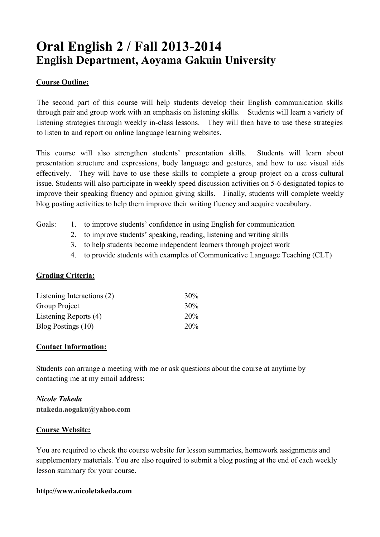## **Oral English 2 / Fall 2013-2014 English Department, Aoyama Gakuin University**

#### **Course Outline:**

The second part of this course will help students develop their English communication skills through pair and group work with an emphasis on listening skills. Students will learn a variety of listening strategies through weekly in-class lessons. They will then have to use these strategies to listen to and report on online language learning websites.

This course will also strengthen students' presentation skills. Students will learn about presentation structure and expressions, body language and gestures, and how to use visual aids effectively. They will have to use these skills to complete a group project on a cross-cultural issue. Students will also participate in weekly speed discussion activities on 5-6 designated topics to improve their speaking fluency and opinion giving skills. Finally, students will complete weekly blog posting activities to help them improve their writing fluency and acquire vocabulary.

- Goals: 1. to improve students' confidence in using English for communication
	- 2. to improve students' speaking, reading, listening and writing skills
	- 3. to help students become independent learners through project work
	- 4. to provide students with examples of Communicative Language Teaching (CLT)

#### **Grading Criteria:**

| Listening Interactions (2) | $30\%$ |
|----------------------------|--------|
| Group Project              | $30\%$ |
| Listening Reports (4)      | 20%    |
| Blog Postings (10)         | 20%    |

#### **Contact Information:**

Students can arrange a meeting with me or ask questions about the course at anytime by contacting me at my email address:

## *Nicole Takeda*

**ntakeda.aogaku@yahoo.com**

#### **Course Website:**

You are required to check the course website for lesson summaries, homework assignments and supplementary materials. You are also required to submit a blog posting at the end of each weekly lesson summary for your course.

#### **http://www.nicoletakeda.com**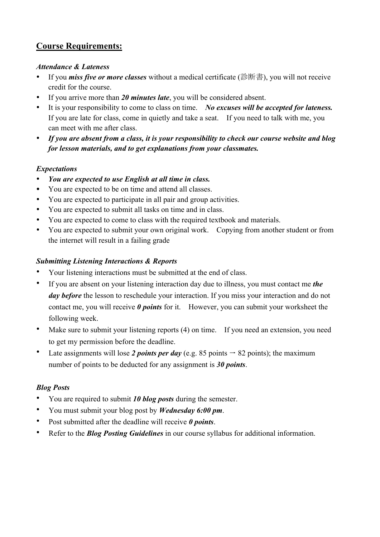### **Course Requirements:**

#### *Attendance & Lateness*

- If you *miss five or more classes* without a medical certificate (診断書), you will not receive credit for the course.
- If you arrive more than *20 minutes late*, you will be considered absent.
- It is your responsibility to come to class on time. *No excuses will be accepted for lateness.* If you are late for class, come in quietly and take a seat. If you need to talk with me, you can meet with me after class.
- *If you are absent from a class, it is your responsibility to check our course website and blog for lesson materials, and to get explanations from your classmates.*

#### *Expectations*

- *You are expected to use English at all time in class.*
- You are expected to be on time and attend all classes.
- You are expected to participate in all pair and group activities.
- You are expected to submit all tasks on time and in class.
- You are expected to come to class with the required textbook and materials.
- You are expected to submit your own original work. Copying from another student or from the internet will result in a failing grade

#### *Submitting Listening Interactions & Reports*

- Your listening interactions must be submitted at the end of class.
- If you are absent on your listening interaction day due to illness, you must contact me *the day before* the lesson to reschedule your interaction. If you miss your interaction and do not contact me, you will receive *0 points* for it. However, you can submit your worksheet the following week.
- Make sure to submit your listening reports (4) on time. If you need an extension, you need to get my permission before the deadline.
- Late assignments will lose 2 *points per day* (e.g. 85 points  $\rightarrow$  82 points); the maximum number of points to be deducted for any assignment is *30 points*.

#### *Blog Posts*

- You are required to submit *10 blog posts* during the semester.
- You must submit your blog post by *Wednesday 6:00 pm*.
- Post submitted after the deadline will receive *0 points*.
- Refer to the *Blog Posting Guidelines* in our course syllabus for additional information.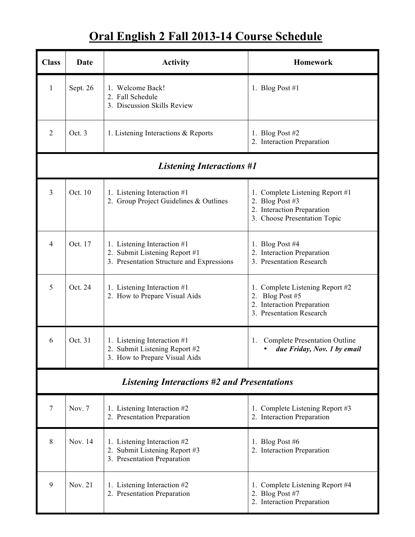## **Oral English 2 Fall 2013-14 Course Schedule**

| <b>Class</b>                                       | Date     | <b>Activity</b>                                                                                           | <b>Homework</b>                                                                                                  |  |
|----------------------------------------------------|----------|-----------------------------------------------------------------------------------------------------------|------------------------------------------------------------------------------------------------------------------|--|
| $\mathbf{1}$                                       | Sept. 26 | 1. Welcome Back!<br>2. Fall Schedule<br>3. Discussion Skills Review                                       | 1. Blog Post #1                                                                                                  |  |
| $\overline{2}$                                     | Oct. 3   | 1. Listening Interactions & Reports                                                                       | 1. Blog Post $#2$<br>2. Interaction Preparation                                                                  |  |
|                                                    |          | <b>Listening Interactions #1</b>                                                                          |                                                                                                                  |  |
| $\overline{3}$                                     | Oct. 10  | 1. Listening Interaction #1<br>2. Group Project Guidelines & Outlines                                     | 1. Complete Listening Report #1<br>2. Blog Post #3<br>2. Interaction Preparation<br>3. Choose Presentation Topic |  |
| $\overline{4}$                                     | Oct. 17  | 1. Listening Interaction #1<br>2. Submit Listening Report #1<br>3. Presentation Structure and Expressions | 1. Blog Post #4<br>2. Interaction Preparation<br>3. Presentation Research                                        |  |
| 5                                                  | Oct. 24  | 1. Listening Interaction #1<br>2. How to Prepare Visual Aids                                              | 1. Complete Listening Report #2<br>2. Blog Post #5<br>2. Interaction Preparation<br>3. Presentation Research     |  |
| 6                                                  | Oct. 31  | 1. Listening Interaction #1<br>2. Submit Listening Report #2<br>3. How to Prepare Visual Aids             | <b>Complete Presentation Outline</b><br>1.<br>due Friday, Nov. 1 by email                                        |  |
| <b>Listening Interactions #2 and Presentations</b> |          |                                                                                                           |                                                                                                                  |  |
| $\overline{7}$                                     | Nov. 7   | 1. Listening Interaction #2<br>2. Presentation Preparation                                                | 1. Complete Listening Report #3<br>2. Interaction Preparation                                                    |  |
| 8                                                  | Nov. 14  | 1. Listening Interaction #2<br>2. Submit Listening Report #3<br>3. Presentation Preparation               | 1. Blog Post #6<br>2. Interaction Preparation                                                                    |  |
| 9                                                  | Nov. 21  | 1. Listening Interaction #2<br>2. Presentation Preparation                                                | 1. Complete Listening Report #4<br>2. Blog Post #7<br>2. Interaction Preparation                                 |  |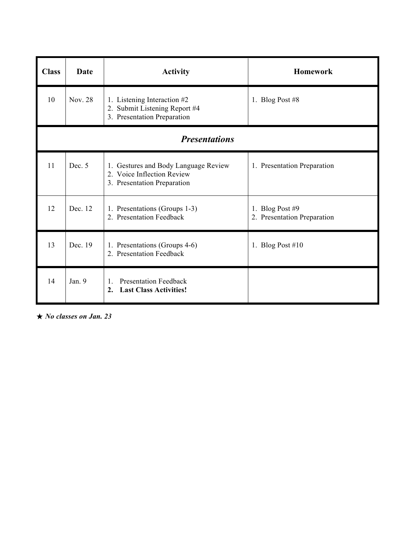| <b>Class</b>         | Date    | <b>Activity</b>                                                                                   | <b>Homework</b>                                  |  |  |
|----------------------|---------|---------------------------------------------------------------------------------------------------|--------------------------------------------------|--|--|
| 10                   | Nov. 28 | 1. Listening Interaction #2<br>2. Submit Listening Report #4<br>3. Presentation Preparation       | 1. Blog Post #8                                  |  |  |
| <b>Presentations</b> |         |                                                                                                   |                                                  |  |  |
| 11                   | Dec. 5  | 1. Gestures and Body Language Review<br>2. Voice Inflection Review<br>3. Presentation Preparation | 1. Presentation Preparation                      |  |  |
| 12                   | Dec. 12 | 1. Presentations (Groups 1-3)<br>2. Presentation Feedback                                         | 1. Blog Post $#9$<br>2. Presentation Preparation |  |  |
| 13                   | Dec. 19 | 1. Presentations (Groups 4-6)<br>2. Presentation Feedback                                         | 1. Blog Post $#10$                               |  |  |
| 14                   | Jan. 9  | <b>Presentation Feedback</b><br>1.<br><b>Last Class Activities!</b><br>2.                         |                                                  |  |  |

! *No classes on Jan. 23*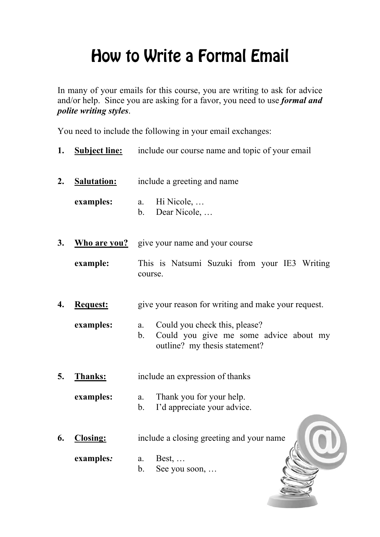# How to Write a Formal Email

In many of your emails for this course, you are writing to ask for advice and/or help. Since you are asking for a favor, you need to use *formal and polite writing styles*.

You need to include the following in your email exchanges:

- **1. Subject line:** include our course name and topic of your email
- **2. Salutation:** include a greeting and name

**examples:** a. Hi Nicole, … b. Dear Nicole, …

- **3. Who are you?** give your name and your course
	- **example:** This is Natsumi Suzuki from your IE3 Writing course.
- **4. Request:** give your reason for writing and make your request.
	- **examples:** a. Could you check this, please? b. Could you give me some advice about my outline? my thesis statement?
- **5. Thanks:** include an expression of thanks

**examples:** a. Thank you for your help.

- b. I'd appreciate your advice.
- **6. Closing:** include a closing greeting and your name

**examples***:* a. Best, …

b. See you soon, …

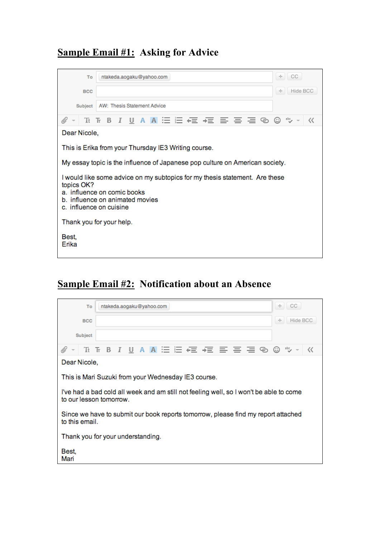## **Sample Email #1: Asking for Advice**

| To                                                                                                                                                                                     | ntakeda.aogaku@yahoo.com                             | $+$ CC         |  |  |
|----------------------------------------------------------------------------------------------------------------------------------------------------------------------------------------|------------------------------------------------------|----------------|--|--|
| <b>BCC</b>                                                                                                                                                                             |                                                      | Hide BCC<br>÷. |  |  |
| Subject                                                                                                                                                                                | <b>AW: Thesis Statement Advice</b>                   |                |  |  |
| O)                                                                                                                                                                                     | Tt Tr B J U A A 注注← r 有 三 三 三 三 ⑤ ⑤ *>               | ≪              |  |  |
| Dear Nicole,                                                                                                                                                                           |                                                      |                |  |  |
|                                                                                                                                                                                        | This is Erika from your Thursday IE3 Writing course. |                |  |  |
| My essay topic is the influence of Japanese pop culture on American society.                                                                                                           |                                                      |                |  |  |
| I would like some advice on my subtopics for my thesis statement. Are these<br>topics OK?<br>a. influence on comic books<br>b. influence on animated movies<br>c. influence on cuisine |                                                      |                |  |  |
| Thank you for your help.                                                                                                                                                               |                                                      |                |  |  |
| Best,<br>Erika                                                                                                                                                                         |                                                      |                |  |  |

### **Sample Email #2: Notification about an Absence**

| To                                                                                                                | ntakeda.aogaku@yahoo.com                            | ÷<br>CC       |  |  |
|-------------------------------------------------------------------------------------------------------------------|-----------------------------------------------------|---------------|--|--|
| <b>BCC</b>                                                                                                        |                                                     | Hide BCC<br>÷ |  |  |
| Subject                                                                                                           |                                                     |               |  |  |
| O)                                                                                                                | <b>TH TB I U A A 注注在 在 三 三 三 0 0 %</b>              | «             |  |  |
| Dear Nicole,                                                                                                      |                                                     |               |  |  |
|                                                                                                                   | This is Mari Suzuki from your Wednesday IE3 course. |               |  |  |
| I've had a bad cold all week and am still not feeling well, so I won't be able to come<br>to our lesson tomorrow. |                                                     |               |  |  |
| Since we have to submit our book reports tomorrow, please find my report attached<br>to this email.               |                                                     |               |  |  |
| Thank you for your understanding.                                                                                 |                                                     |               |  |  |
| Best,<br>Mari                                                                                                     |                                                     |               |  |  |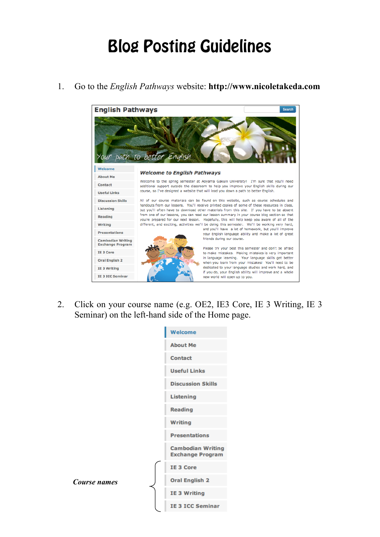## Blog Posting Guidelines



1. Go to the *English Pathways* website: **http://www.nicoletakeda.com**

2. Click on your course name (e.g. OE2, IE3 Core, IE 3 Writing, IE 3 Seminar) on the left-hand side of the Home page.

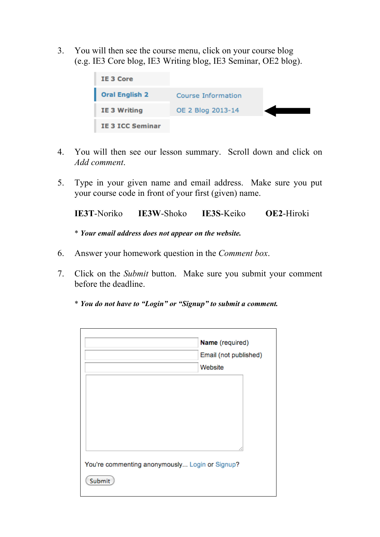3. You will then see the course menu, click on your course blog (e.g. IE3 Core blog, IE3 Writing blog, IE3 Seminar, OE2 blog).



- 4. You will then see our lesson summary. Scroll down and click on *Add comment*.
- 5. Type in your given name and email address. Make sure you put your course code in front of your first (given) name.

**IE3T**-Noriko **IE3W**-Shoko **IE3S**-Keiko **OE2**-Hiroki

\* *Your email address does not appear on the website.*

- 6. Answer your homework question in the *Comment box*.
- 7. Click on the *Submit* button. Make sure you submit your comment before the deadline.
	- \* *You do not have to "Login" or "Signup" to submit a comment.*

|                                                          | Name (required)<br>Email (not published)<br>Website |  |  |  |
|----------------------------------------------------------|-----------------------------------------------------|--|--|--|
|                                                          |                                                     |  |  |  |
| You're commenting anonymously Login or Signup?<br>Submit |                                                     |  |  |  |